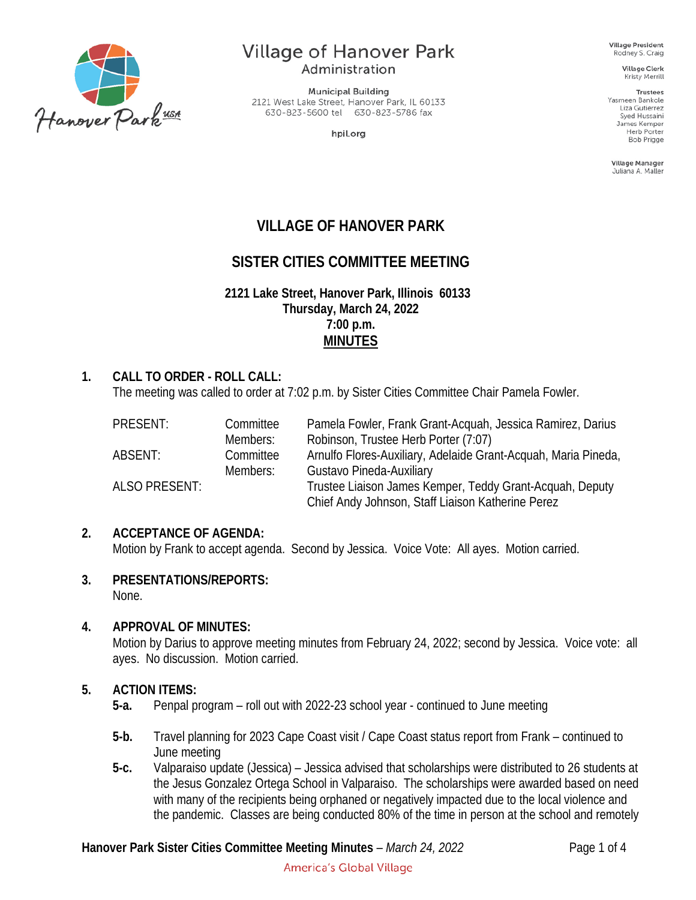

# **Village of Hanover Park**

Administration

**Municipal Building** 2121 West Lake Street, Hanover Park, IL 60133 630-823-5600 tel 630-823-5786 fax

hpil.org

**Village President** Rodney S. Craig

**Village Clerk** Kristy Merrill

**Trustees** Yasmeen Bankole Liza Gutierrez Syed Hussaini James Kemper Herb Porter **Bob Prigge** 

Village Manager Juliana A. Maller

# **VILLAGE OF HANOVER PARK**

# **SISTER CITIES COMMITTEE MEETING**

**2121 Lake Street, Hanover Park, Illinois 60133 Thursday, March 24, 2022 7:00 p.m. MINUTES**

#### **1. CALL TO ORDER - ROLL CALL:**

The meeting was called to order at 7:02 p.m. by Sister Cities Committee Chair Pamela Fowler.

| PRESENT:             | Committee | Pamela Fowler, Frank Grant-Acquah, Jessica Ramirez, Darius     |
|----------------------|-----------|----------------------------------------------------------------|
|                      | Members:  | Robinson, Trustee Herb Porter (7:07)                           |
| ABSENT:              | Committee | Arnulfo Flores-Auxiliary, Adelaide Grant-Acquah, Maria Pineda, |
|                      | Members:  | Gustavo Pineda-Auxiliary                                       |
| <b>ALSO PRESENT:</b> |           | Trustee Liaison James Kemper, Teddy Grant-Acquah, Deputy       |
|                      |           | Chief Andy Johnson, Staff Liaison Katherine Perez              |

#### **2. ACCEPTANCE OF AGENDA:**

Motion by Frank to accept agenda. Second by Jessica. Voice Vote: All ayes. Motion carried.

**3. PRESENTATIONS/REPORTS:**

None.

#### **4. APPROVAL OF MINUTES:**

Motion by Darius to approve meeting minutes from February 24, 2022; second by Jessica. Voice vote: all ayes. No discussion. Motion carried.

#### **5. ACTION ITEMS:**

- **5-a.** Penpal program roll out with 2022-23 school year continued to June meeting
- **5-b.** Travel planning for 2023 Cape Coast visit / Cape Coast status report from Frank continued to June meeting
- **5-c.** Valparaiso update (Jessica) Jessica advised that scholarships were distributed to 26 students at the Jesus Gonzalez Ortega School in Valparaiso. The scholarships were awarded based on need with many of the recipients being orphaned or negatively impacted due to the local violence and the pandemic. Classes are being conducted 80% of the time in person at the school and remotely

#### **Hanover Park Sister Cities Committee Meeting Minutes** – *March 24, 2022* Page 1 of 4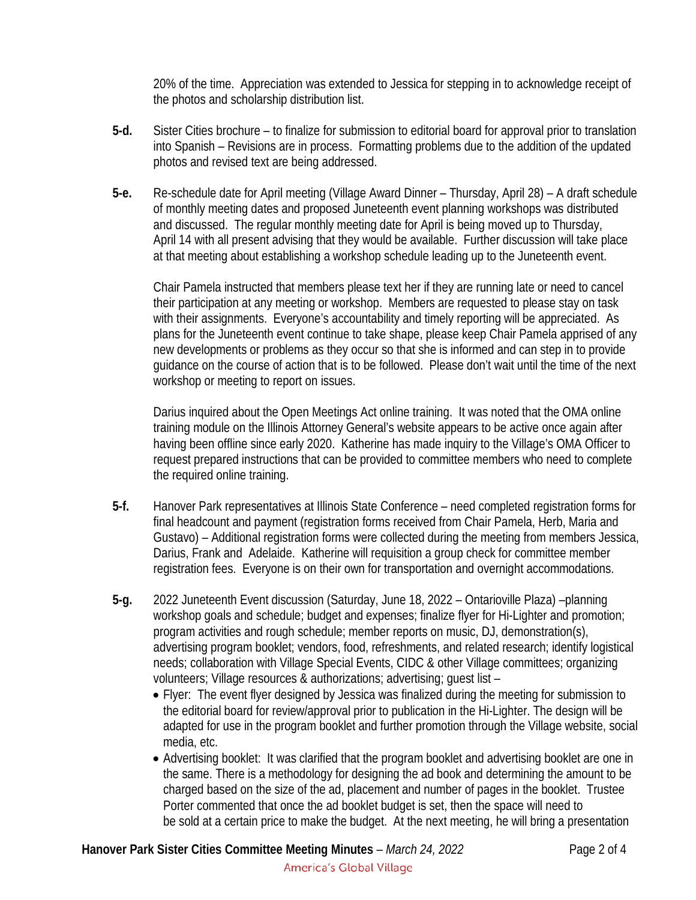20% of the time. Appreciation was extended to Jessica for stepping in to acknowledge receipt of the photos and scholarship distribution list.

- **5-d.** Sister Cities brochure to finalize for submission to editorial board for approval prior to translation into Spanish – Revisions are in process. Formatting problems due to the addition of the updated photos and revised text are being addressed.
- **5-e.** Re-schedule date for April meeting (Village Award Dinner Thursday, April 28) A draft schedule of monthly meeting dates and proposed Juneteenth event planning workshops was distributed and discussed. The regular monthly meeting date for April is being moved up to Thursday, April 14 with all present advising that they would be available. Further discussion will take place at that meeting about establishing a workshop schedule leading up to the Juneteenth event.

Chair Pamela instructed that members please text her if they are running late or need to cancel their participation at any meeting or workshop. Members are requested to please stay on task with their assignments. Everyone's accountability and timely reporting will be appreciated. As plans for the Juneteenth event continue to take shape, please keep Chair Pamela apprised of any new developments or problems as they occur so that she is informed and can step in to provide guidance on the course of action that is to be followed. Please don't wait until the time of the next workshop or meeting to report on issues.

Darius inquired about the Open Meetings Act online training. It was noted that the OMA online training module on the Illinois Attorney General's website appears to be active once again after having been offline since early 2020. Katherine has made inquiry to the Village's OMA Officer to request prepared instructions that can be provided to committee members who need to complete the required online training.

- **5-f.** Hanover Park representatives at Illinois State Conference need completed registration forms for final headcount and payment (registration forms received from Chair Pamela, Herb, Maria and Gustavo) – Additional registration forms were collected during the meeting from members Jessica, Darius, Frank and Adelaide. Katherine will requisition a group check for committee member registration fees. Everyone is on their own for transportation and overnight accommodations.
- **5-g.** 2022 Juneteenth Event discussion (Saturday, June 18, 2022 Ontarioville Plaza) –planning workshop goals and schedule; budget and expenses; finalize flyer for Hi-Lighter and promotion; program activities and rough schedule; member reports on music, DJ, demonstration(s), advertising program booklet; vendors, food, refreshments, and related research; identify logistical needs; collaboration with Village Special Events, CIDC & other Village committees; organizing volunteers; Village resources & authorizations; advertising; guest list –
	- Flyer: The event flyer designed by Jessica was finalized during the meeting for submission to the editorial board for review/approval prior to publication in the Hi-Lighter. The design will be adapted for use in the program booklet and further promotion through the Village website, social media, etc.
	- Advertising booklet: It was clarified that the program booklet and advertising booklet are one in the same. There is a methodology for designing the ad book and determining the amount to be charged based on the size of the ad, placement and number of pages in the booklet. Trustee Porter commented that once the ad booklet budget is set, then the space will need to be sold at a certain price to make the budget. At the next meeting, he will bring a presentation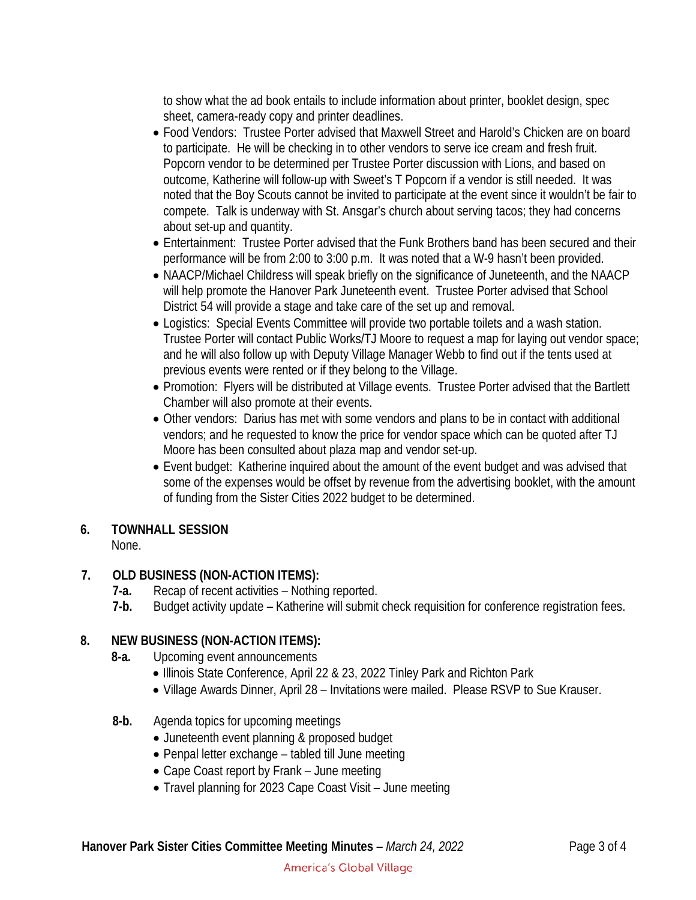to show what the ad book entails to include information about printer, booklet design, spec sheet, camera-ready copy and printer deadlines.

- Food Vendors: Trustee Porter advised that Maxwell Street and Harold's Chicken are on board to participate. He will be checking in to other vendors to serve ice cream and fresh fruit. Popcorn vendor to be determined per Trustee Porter discussion with Lions, and based on outcome, Katherine will follow-up with Sweet's T Popcorn if a vendor is still needed. It was noted that the Boy Scouts cannot be invited to participate at the event since it wouldn't be fair to compete. Talk is underway with St. Ansgar's church about serving tacos; they had concerns about set-up and quantity.
- Entertainment: Trustee Porter advised that the Funk Brothers band has been secured and their performance will be from 2:00 to 3:00 p.m. It was noted that a W-9 hasn't been provided.
- NAACP/Michael Childress will speak briefly on the significance of Juneteenth, and the NAACP will help promote the Hanover Park Juneteenth event. Trustee Porter advised that School District 54 will provide a stage and take care of the set up and removal.
- Logistics: Special Events Committee will provide two portable toilets and a wash station. Trustee Porter will contact Public Works/TJ Moore to request a map for laying out vendor space; and he will also follow up with Deputy Village Manager Webb to find out if the tents used at previous events were rented or if they belong to the Village.
- Promotion: Flyers will be distributed at Village events. Trustee Porter advised that the Bartlett Chamber will also promote at their events.
- Other vendors: Darius has met with some vendors and plans to be in contact with additional vendors; and he requested to know the price for vendor space which can be quoted after TJ Moore has been consulted about plaza map and vendor set-up.
- Event budget: Katherine inquired about the amount of the event budget and was advised that some of the expenses would be offset by revenue from the advertising booklet, with the amount of funding from the Sister Cities 2022 budget to be determined.

## **6. TOWNHALL SESSION**

## None.

## **7. OLD BUSINESS (NON-ACTION ITEMS):**

- **7-a.** Recap of recent activities Nothing reported.
- **7-b.** Budget activity update Katherine will submit check requisition for conference registration fees.

## **8. NEW BUSINESS (NON-ACTION ITEMS):**

- **8-a.** Upcoming event announcements
	- Illinois State Conference, April 22 & 23, 2022 Tinley Park and Richton Park
	- Village Awards Dinner, April 28 Invitations were mailed. Please RSVP to Sue Krauser.
- **8-b.** Agenda topics for upcoming meetings
	- Juneteenth event planning & proposed budget
	- Penpal letter exchange tabled till June meeting
	- Cape Coast report by Frank June meeting
	- Travel planning for 2023 Cape Coast Visit June meeting